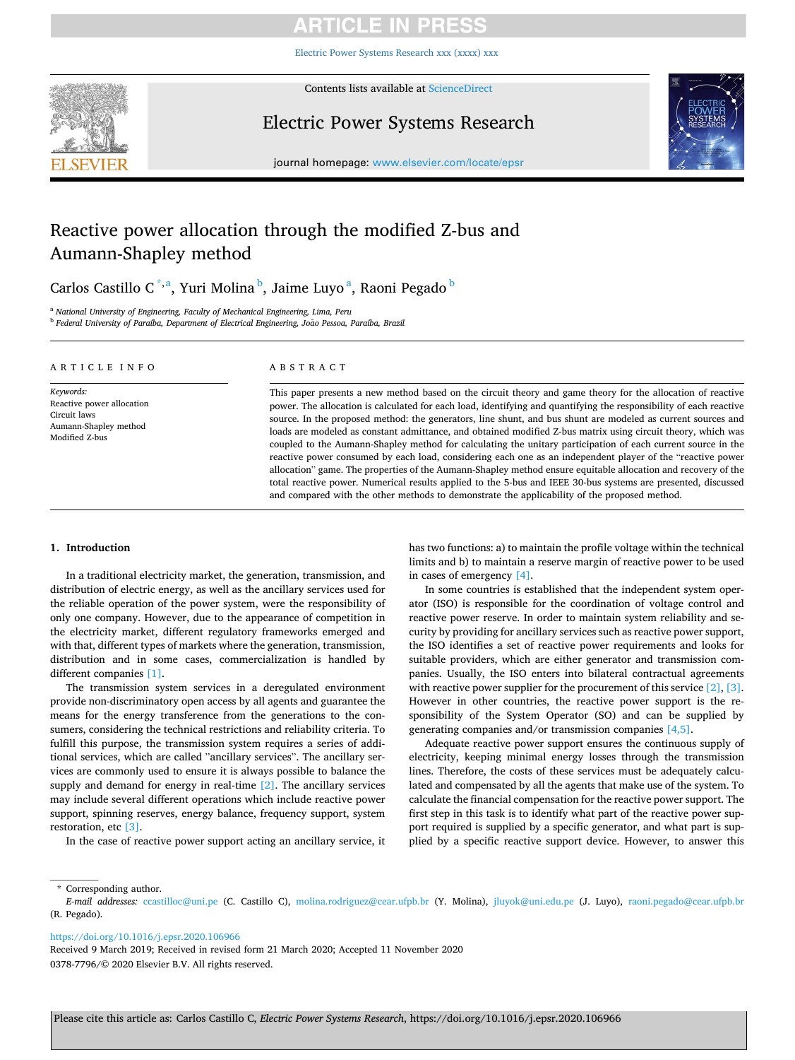# ARTICLE IN PRE

[Electric Power Systems Research xxx \(xxxx\) xxx](https://doi.org/10.1016/j.epsr.2020.106966)



Contents lists available at [ScienceDirect](www.sciencedirect.com/science/journal/03787796)

Electric Power Systems Research



journal homepage: [www.elsevier.com/locate/epsr](https://www.elsevier.com/locate/epsr)

# Reactive power allocation through the modified Z-bus and Aumann-Shapley method

Carlos Castillo C<sup>\*,a</sup>, Yuri Molina <sup>b</sup>, Jaime Luyo<sup>a</sup>, Raoni Pegado <sup>b</sup>

<sup>a</sup> *National University of Engineering, Faculty of Mechanical Engineering, Lima, Peru* <sup>b</sup> Federal University of Paraíba, Department of Electrical Engineering, João Pessoa, Paraíba, Brazil

| ARTICLE INFO                                                                                      | ABSTRACT                                                                                                                                                                                                                                                                                                                                                                                                                                                                                                                                                                                                                                                                                                                                                                                                                                                                                                                                                                                                                          |
|---------------------------------------------------------------------------------------------------|-----------------------------------------------------------------------------------------------------------------------------------------------------------------------------------------------------------------------------------------------------------------------------------------------------------------------------------------------------------------------------------------------------------------------------------------------------------------------------------------------------------------------------------------------------------------------------------------------------------------------------------------------------------------------------------------------------------------------------------------------------------------------------------------------------------------------------------------------------------------------------------------------------------------------------------------------------------------------------------------------------------------------------------|
| Keywords:<br>Reactive power allocation<br>Circuit laws<br>Aumann-Shapley method<br>Modified Z-bus | This paper presents a new method based on the circuit theory and game theory for the allocation of reactive<br>power. The allocation is calculated for each load, identifying and quantifying the responsibility of each reactive<br>source. In the proposed method: the generators, line shunt, and bus shunt are modeled as current sources and<br>loads are modeled as constant admittance, and obtained modified Z-bus matrix using circuit theory, which was<br>coupled to the Aumann-Shapley method for calculating the unitary participation of each current source in the<br>reactive power consumed by each load, considering each one as an independent player of the "reactive power<br>allocation" game. The properties of the Aumann-Shapley method ensure equitable allocation and recovery of the<br>total reactive power. Numerical results applied to the 5-bus and IEEE 30-bus systems are presented, discussed<br>and compared with the other methods to demonstrate the applicability of the proposed method. |

# **1. Introduction**

In a traditional electricity market, the generation, transmission, and distribution of electric energy, as well as the ancillary services used for the reliable operation of the power system, were the responsibility of only one company. However, due to the appearance of competition in the electricity market, different regulatory frameworks emerged and with that, different types of markets where the generation, transmission, distribution and in some cases, commercialization is handled by different companies [\[1\]](#page-7-0).

The transmission system services in a deregulated environment provide non-discriminatory open access by all agents and guarantee the means for the energy transference from the generations to the consumers, considering the technical restrictions and reliability criteria. To fulfill this purpose, the transmission system requires a series of additional services, which are called "ancillary services". The ancillary services are commonly used to ensure it is always possible to balance the supply and demand for energy in real-time [\[2\]](#page-7-0). The ancillary services may include several different operations which include reactive power support, spinning reserves, energy balance, frequency support, system restoration, etc [\[3\].](#page-7-0)

In the case of reactive power support acting an ancillary service, it

has two functions: a) to maintain the profile voltage within the technical limits and b) to maintain a reserve margin of reactive power to be used in cases of emergency [\[4\].](#page-7-0)

In some countries is established that the independent system operator (ISO) is responsible for the coordination of voltage control and reactive power reserve. In order to maintain system reliability and security by providing for ancillary services such as reactive power support, the ISO identifies a set of reactive power requirements and looks for suitable providers, which are either generator and transmission companies. Usually, the ISO enters into bilateral contractual agreements with reactive power supplier for the procurement of this service [\[2\]](#page-7-0), [\[3\]](#page-7-0). However in other countries, the reactive power support is the responsibility of the System Operator (SO) and can be supplied by generating companies and/or transmission companies [\[4,5\].](#page-7-0)

Adequate reactive power support ensures the continuous supply of electricity, keeping minimal energy losses through the transmission lines. Therefore, the costs of these services must be adequately calculated and compensated by all the agents that make use of the system. To calculate the financial compensation for the reactive power support. The first step in this task is to identify what part of the reactive power support required is supplied by a specific generator, and what part is supplied by a specific reactive support device. However, to answer this

\* Corresponding author.

<https://doi.org/10.1016/j.epsr.2020.106966>

0378-7796/© 2020 Elsevier B.V. All rights reserved. Received 9 March 2019; Received in revised form 21 March 2020; Accepted 11 November 2020

*E-mail addresses:* [ccastilloc@uni.pe](mailto:ccastilloc@uni.pe) (C. Castillo C), [molina.rodriguez@cear.ufpb.br](mailto:molina.rodriguez@cear.ufpb.br) (Y. Molina), [jluyok@uni.edu.pe](mailto:jluyok@uni.edu.pe) (J. Luyo), [raoni.pegado@cear.ufpb.br](mailto:raoni.pegado@cear.ufpb.br)  (R. Pegado).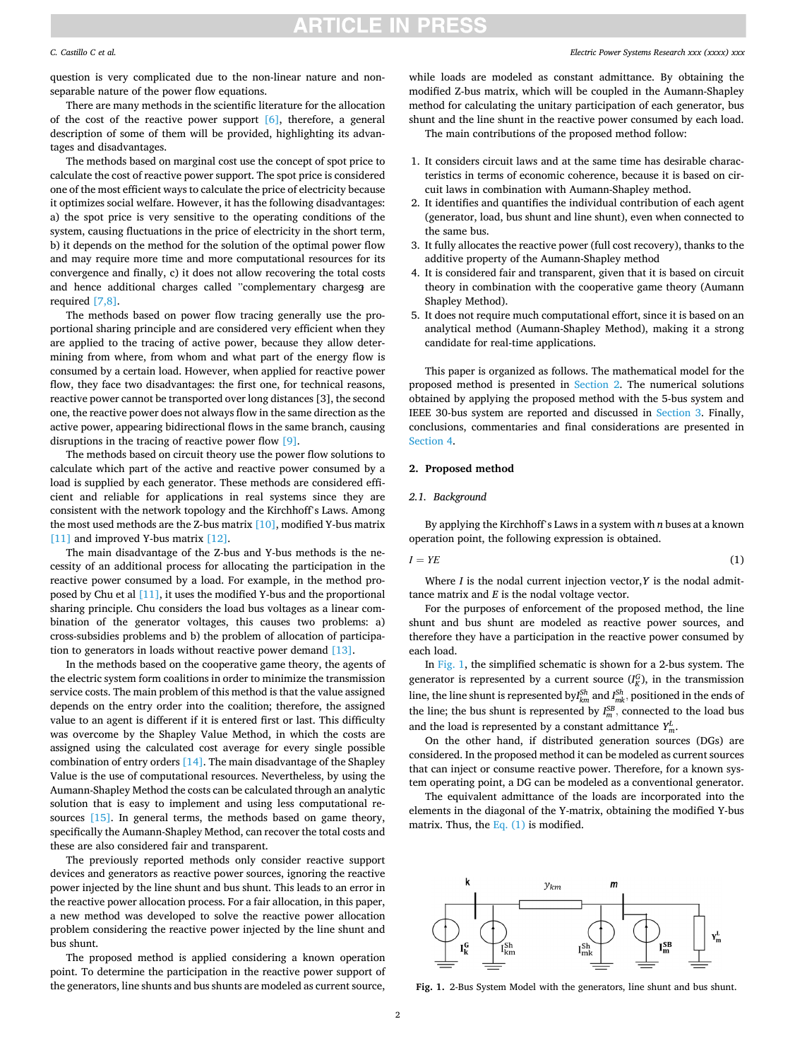# **ARTICLE IN PRESS**

## *C. Castillo C et al.*

question is very complicated due to the non-linear nature and nonseparable nature of the power flow equations.

There are many methods in the scientific literature for the allocation of the cost of the reactive power support [\[6\]](#page-7-0), therefore, a general description of some of them will be provided, highlighting its advantages and disadvantages.

The methods based on marginal cost use the concept of spot price to calculate the cost of reactive power support. The spot price is considered one of the most efficient ways to calculate the price of electricity because it optimizes social welfare. However, it has the following disadvantages: a) the spot price is very sensitive to the operating conditions of the system, causing fluctuations in the price of electricity in the short term, b) it depends on the method for the solution of the optimal power flow and may require more time and more computational resources for its convergence and finally, c) it does not allow recovering the total costs and hence additional charges called "complementary chargesg are required [\[7,8\].](#page-7-0)

The methods based on power flow tracing generally use the proportional sharing principle and are considered very efficient when they are applied to the tracing of active power, because they allow determining from where, from whom and what part of the energy flow is consumed by a certain load. However, when applied for reactive power flow, they face two disadvantages: the first one, for technical reasons, reactive power cannot be transported over long distances [3], the second one, the reactive power does not always flow in the same direction as the active power, appearing bidirectional flows in the same branch, causing disruptions in the tracing of reactive power flow [\[9\].](#page-7-0)

The methods based on circuit theory use the power flow solutions to calculate which part of the active and reactive power consumed by a load is supplied by each generator. These methods are considered efficient and reliable for applications in real systems since they are consistent with the network topology and the Kirchhoff's Laws. Among the most used methods are the Z-bus matrix  $[10]$ , modified Y-bus matrix [\[11\]](#page-7-0) and improved Y-bus matrix [\[12\].](#page-7-0)

The main disadvantage of the Z-bus and Y-bus methods is the necessity of an additional process for allocating the participation in the reactive power consumed by a load. For example, in the method proposed by Chu et al [\[11\],](#page-7-0) it uses the modified Y-bus and the proportional sharing principle. Chu considers the load bus voltages as a linear combination of the generator voltages, this causes two problems: a) cross-subsidies problems and b) the problem of allocation of participation to generators in loads without reactive power demand [\[13\]](#page-7-0).

In the methods based on the cooperative game theory, the agents of the electric system form coalitions in order to minimize the transmission service costs. The main problem of this method is that the value assigned depends on the entry order into the coalition; therefore, the assigned value to an agent is different if it is entered first or last. This difficulty was overcome by the Shapley Value Method, in which the costs are assigned using the calculated cost average for every single possible combination of entry orders [\[14\]](#page-7-0). The main disadvantage of the Shapley Value is the use of computational resources. Nevertheless, by using the Aumann-Shapley Method the costs can be calculated through an analytic solution that is easy to implement and using less computational resources [\[15\]](#page-7-0). In general terms, the methods based on game theory, specifically the Aumann-Shapley Method, can recover the total costs and these are also considered fair and transparent.

The previously reported methods only consider reactive support devices and generators as reactive power sources, ignoring the reactive power injected by the line shunt and bus shunt. This leads to an error in the reactive power allocation process. For a fair allocation, in this paper, a new method was developed to solve the reactive power allocation problem considering the reactive power injected by the line shunt and bus shunt.

The proposed method is applied considering a known operation point. To determine the participation in the reactive power support of the generators, line shunts and bus shunts are modeled as current source,

## *Electric Power Systems Research xxx (xxxx) xxx*

while loads are modeled as constant admittance. By obtaining the modified Z-bus matrix, which will be coupled in the Aumann-Shapley method for calculating the unitary participation of each generator, bus shunt and the line shunt in the reactive power consumed by each load.

The main contributions of the proposed method follow:

- 1. It considers circuit laws and at the same time has desirable characteristics in terms of economic coherence, because it is based on circuit laws in combination with Aumann-Shapley method.
- 2. It identifies and quantifies the individual contribution of each agent (generator, load, bus shunt and line shunt), even when connected to the same bus.
- 3. It fully allocates the reactive power (full cost recovery), thanks to the additive property of the Aumann-Shapley method
- 4. It is considered fair and transparent, given that it is based on circuit theory in combination with the cooperative game theory (Aumann Shapley Method).
- 5. It does not require much computational effort, since it is based on an analytical method (Aumann-Shapley Method), making it a strong candidate for real-time applications.

This paper is organized as follows. The mathematical model for the proposed method is presented in Section 2. The numerical solutions obtained by applying the proposed method with the 5-bus system and IEEE 30-bus system are reported and discussed in [Section 3.](#page-3-0) Finally, conclusions, commentaries and final considerations are presented in [Section 4](#page-5-0).

## **2. Proposed method**

### *2.1. Background*

By applying the Kirchhoff's Laws in a system with *n* buses at a known operation point, the following expression is obtained.

$$
I = YE \tag{1}
$$

Where *I* is the nodal current injection vector,*Y* is the nodal admittance matrix and *E* is the nodal voltage vector.

For the purposes of enforcement of the proposed method, the line shunt and bus shunt are modeled as reactive power sources, and therefore they have a participation in the reactive power consumed by each load.

In Fig. 1, the simplified schematic is shown for a 2-bus system. The generator is represented by a current source  $(I_K^G)$ , in the transmission line, the line shunt is represented by $I_{km}^{Sh}$  and  $I_{mk}^{Sh}$ , positioned in the ends of the line; the bus shunt is represented by  $I_m^{SB}$ , connected to the load bus and the load is represented by a constant admittance  $Y_m^L$ .

On the other hand, if distributed generation sources (DGs) are considered. In the proposed method it can be modeled as current sources that can inject or consume reactive power. Therefore, for a known system operating point, a DG can be modeled as a conventional generator.

The equivalent admittance of the loads are incorporated into the elements in the diagonal of the Y-matrix, obtaining the modified Y-bus matrix. Thus, the Eq. (1) is modified.



**Fig. 1.** 2-Bus System Model with the generators, line shunt and bus shunt.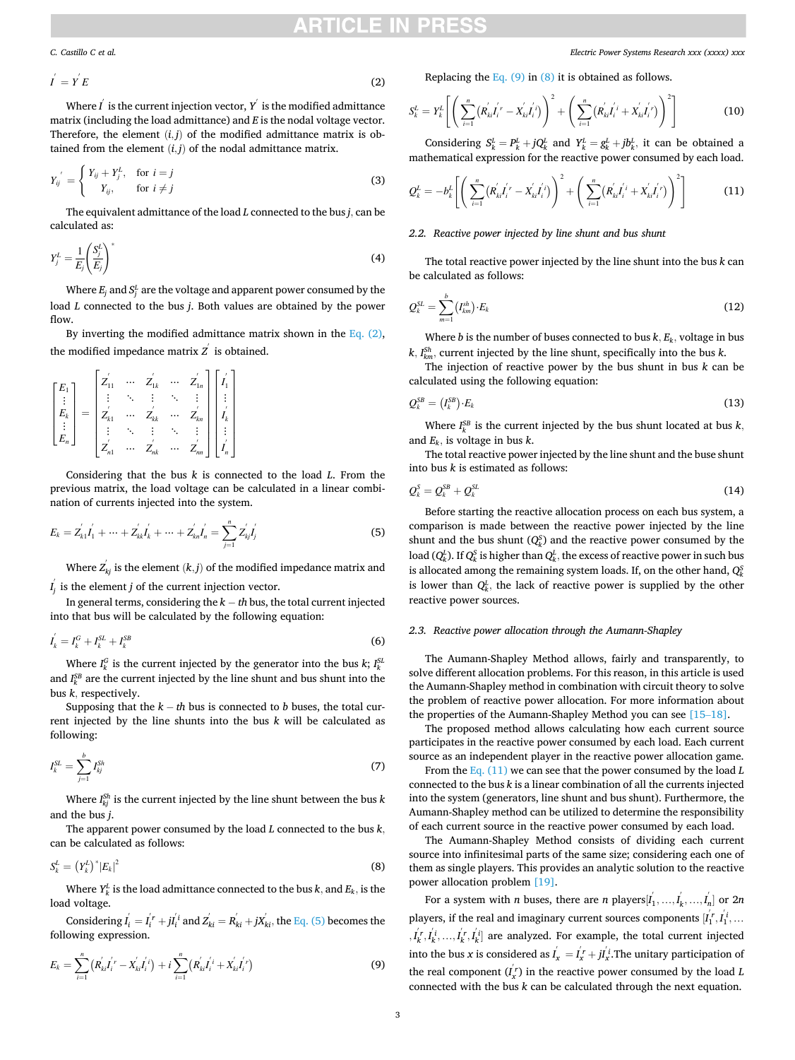# RTICI E IN

<span id="page-2-0"></span>*C. Castillo C et al.* 

$$
I^{'} = Y^{'} E
$$
 (2)

Where  $\vec{l}$  is the current injection vector,  $\vec{Y}$  is the modified admittance matrix (including the load admittance) and *E* is the nodal voltage vector. Therefore, the element  $(i, j)$  of the modified admittance matrix is obtained from the element  $(i, j)$  of the nodal admittance matrix.

$$
Y_{ij}^{'} = \begin{cases} Y_{ij} + Y_j^L, & \text{for } i = j \\ Y_{ij}, & \text{for } i \neq j \end{cases}
$$
 (3)

The equivalent admittance of the load *L* connected to the bus *j,* can be calculated as:

$$
Y_j^L = \frac{1}{E_j} \left(\frac{S_j^L}{E_j}\right)^* \tag{4}
$$

Where  $E_j$  and  $S_j^L$  are the voltage and apparent power consumed by the load *L* connected to the bus *j*. Both values are obtained by the power flow

By inverting the modified admittance matrix shown in the Eq.  $(2)$ , the modified impedance matrix  $z^{'}$  is obtained.

$$
\begin{bmatrix} E_1 \\ \vdots \\ E_k \\ \vdots \\ E_n \end{bmatrix} = \begin{bmatrix} Z_{11}^{'} & \cdots & Z_{1k}^{'} & \cdots & Z_{1n}^{'} \\ \vdots & \ddots & \vdots & \ddots & \vdots \\ Z_{k1}^{'} & \cdots & Z_{kk}^{'} & \cdots & Z_{kn}^{'} \\ \vdots & \ddots & \vdots & \ddots & \vdots \\ Z_{n1}^{'} & \cdots & Z_{nk}^{'} & \cdots & Z_{nn}^{'} \end{bmatrix} \begin{bmatrix} I_1^{'} \\ I_1^{'} \\ \vdots \\ I_k^{'} \\ \vdots \\ I_n^{'} \end{bmatrix}
$$

Considering that the bus *k* is connected to the load *L*. From the previous matrix, the load voltage can be calculated in a linear combination of currents injected into the system.

$$
E_k = Z'_{k1}I'_1 + \dots + Z'_{kk}I'_k + \dots + Z'_{kn}I'_n = \sum_{j=1}^n Z'_{kj}I'_j
$$
 (5)

Where  $Z_{kj}^{'}$  is the element  $(k, j)$  of the modified impedance matrix and  $I_j^{'}$  is the element *j* of the current injection vector.

In general terms, considering the *k* − *th* bus, the total current injected into that bus will be calculated by the following equation:

$$
I_k^{'} = I_k^G + I_k^{SL} + I_k^{SB} \tag{6}
$$

Where  $I_k^G$  is the current injected by the generator into the bus  $k$ ;  $I_k^{SL}$ and  $I_k^{SB}$  are the current injected by the line shunt and bus shunt into the bus *k,* respectively.

Supposing that the  $k - th$  bus is connected to *b* buses, the total current injected by the line shunts into the bus *k* will be calculated as following:

$$
I_k^{SL} = \sum_{j=1}^b I_{kj}^{Sh} \tag{7}
$$

Where  $I_{kj}^{\text{Sh}}$  is the current injected by the line shunt between the bus  $k$ and the bus *j*.

The apparent power consumed by the load *L* connected to the bus *k,* can be calculated as follows:

$$
S_k^L = \left(Y_k^L\right)^* |E_k|^2 \tag{8}
$$

Where  $Y_k^L$  is the load admittance connected to the bus  $k$ *,* and  $E_k$ *,* is the load voltage.

Considering  $I_i^{'} = I_i^{'r} + J_i^{'i}$  and  $Z_{ki}^{'} = R_{ki}^{'} + jX_{ki}^{'}$ , the Eq. (5) becomes the following expression.

$$
E_k = \sum_{i=1}^{n} \left( R_{ki}^{'} I_i^{'} - X_{ki}^{'} I_i^{'} \right) + i \sum_{i=1}^{n} \left( R_{ki}^{'} I_i^{'} + X_{ki}^{'} I_i^{'} \right)
$$
(9)

*Electric Power Systems Research xxx (xxxx) xxx*

Replacing the Eq.  $(9)$  in  $(8)$  it is obtained as follows.

$$
S_k^L = Y_k^L \left[ \left( \sum_{i=1}^n (R_{ki}^{'} I_i^{'} - X_{ki}^{'} I_i^{'} ) \right)^2 + \left( \sum_{i=1}^n (R_{ki}^{'} I_i^{'} + X_{ki}^{'} I_i^{'} ) \right)^2 \right]
$$
(10)

Considering  $S_k^L = P_k^L + jQ_k^L$  and  $Y_k^L = g_k^L + jb_k^L$ , it can be obtained a mathematical expression for the reactive power consumed by each load.

$$
Q_k^L = -b_k^L \left[ \left( \sum_{i=1}^n (R_{ki}^{' }I_i^{' } - X_{ki}^{'}I_i^{' } ) \right)^2 + \left( \sum_{i=1}^n (R_{ki}^{'}I_i^{' } + X_{ki}^{'}I_i^{' } ) \right)^2 \right]
$$
(11)

# *2.2. Reactive power injected by line shunt and bus shunt*

The total reactive power injected by the line shunt into the bus *k* can be calculated as follows:

$$
\mathcal{Q}_k^{SL} = \sum_{m=1}^b \left( I_{km}^{sh} \right) \cdot E_k \tag{12}
$$

Where *b* is the number of buses connected to bus  $k$ ,  $E_k$ , voltage in bus  $k$ *,*  $I_{km}^{Sh}$ *,* current injected by the line shunt, specifically into the bus  $k$ .

The injection of reactive power by the bus shunt in bus *k* can be calculated using the following equation:

$$
Q_k^{SB} = (I_k^{SB}) \cdot E_k \tag{13}
$$

Where  $I_k^{SB}$  is the current injected by the bus shunt located at bus  $k$ , and *Ek,* is voltage in bus *k*.

The total reactive power injected by the line shunt and the buse shunt into bus *k* is estimated as follows:

$$
\mathcal{Q}_k^S = \mathcal{Q}_k^{SB} + \mathcal{Q}_k^{SL} \tag{14}
$$

Before starting the reactive allocation process on each bus system, a comparison is made between the reactive power injected by the line shunt and the bus shunt  $(Q_k^S)$  and the reactive power consumed by the load  $(Q_k^L)$ . If  $Q_k^S$  is higher than  $Q_k^L$ , the excess of reactive power in such bus is allocated among the remaining system loads. If, on the other hand,  $Q_k^S$ is lower than  $Q_k^L$ , the lack of reactive power is supplied by the other reactive power sources.

## *2.3. Reactive power allocation through the Aumann-Shapley*

The Aumann-Shapley Method allows, fairly and transparently, to solve different allocation problems. For this reason, in this article is used the Aumann-Shapley method in combination with circuit theory to solve the problem of reactive power allocation. For more information about the properties of the Aumann-Shapley Method you can see [\[15](#page-7-0)–18].

The proposed method allows calculating how each current source participates in the reactive power consumed by each load. Each current source as an independent player in the reactive power allocation game.

From the Eq. (11) we can see that the power consumed by the load *L*  connected to the bus *k* is a linear combination of all the currents injected into the system (generators, line shunt and bus shunt). Furthermore, the Aumann-Shapley method can be utilized to determine the responsibility of each current source in the reactive power consumed by each load.

The Aumann-Shapley Method consists of dividing each current source into infinitesimal parts of the same size; considering each one of them as single players. This provides an analytic solution to the reactive power allocation problem [\[19\].](#page-7-0)

For a system with *n* buses, there are *n* players $[I_1^{'},...,I_k^{'},...,I_n^{'}]$  or  $2n$ players, if the real and imaginary current sources components  $[I_1^{'}, I_1^{'}, \dots]$  $, I^{'r}_{k}, I^{'i}_{k}, ..., I^{'r}_{k}, I^{'i}_{k}$ ] are analyzed. For example, the total current injected into the bus *x* is considered as  $I'_x = I'_x + jI'_x$ . The unitary participation of the real component  $(I'_x)$  in the reactive power consumed by the load  $L$ connected with the bus *k* can be calculated through the next equation.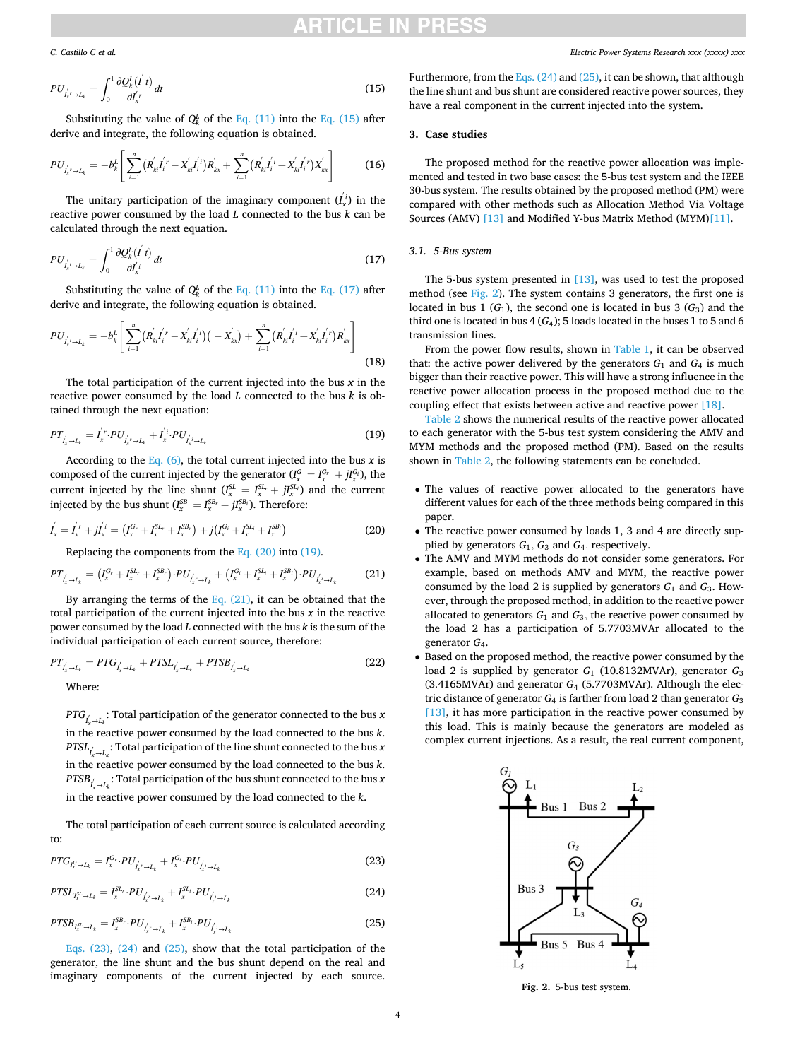<span id="page-3-0"></span>*C. Castillo C et al.* 

$$
PU_{I'_{x'} \to L_k} = \int_0^1 \frac{\partial Q_k^L(I' \, t)}{\partial I'_{x'}} dt \tag{15}
$$

Substituting the value of  $Q_k^L$  of the [Eq. \(11\)](#page-2-0) into the Eq. (15) after derive and integrate, the following equation is obtained.

$$
PU_{I'_{k'} \to L_k} = -b_k^L \left[ \sum_{i=1}^n (R_{kl}^{'} I_i^{'} - X_{kl}^{'} I_i^{'} ) R_{kx}^{'} + \sum_{i=1}^n (R_{kl}^{'} I_i^{'} + X_{kl}^{'} I_i^{'} ) X_{kx}^{'} \right]
$$
(16)

The unitary participation of the imaginary component  $(I_x^i)$  in the reactive power consumed by the load *L* connected to the bus *k* can be calculated through the next equation.

$$
PU_{I'_{x}\to I_{k}} = \int_{0}^{1} \frac{\partial Q_{k}^{L}(I^{'}t)}{\partial I_{x}^{i}} dt
$$
\n(17)

Substituting the value of  $Q_k^L$  of the [Eq. \(11\)](#page-2-0) into the Eq. (17) after derive and integrate, the following equation is obtained.

$$
PU_{I'_{x} \to I_{k}} = -b_{k}^{L} \left[ \sum_{i=1}^{n} (R_{ki}^{'} I_{i}^{'} - X_{ki}^{'} I_{i}^{'} ) (-X_{kx}^{'}) + \sum_{i=1}^{n} (R_{ki}^{'} I_{i}^{'} + X_{ki}^{'} I_{i}^{'} ) R_{kx}^{'} \right]
$$
(18)

The total participation of the current injected into the bus *x* in the reactive power consumed by the load *L* connected to the bus *k* is obtained through the next equation:

$$
PT'_{I'_{x} \to I_{k}} = I'_{x} \cdot PU'_{I'_{x} \to I_{k}} + I'_{x} \cdot PU'_{I'_{x} \to I_{k}}
$$
\n(19)

According to the Eq.  $(6)$ , the total current injected into the bus *x* is composed of the current injected by the generator  $(I_x^G = I_x^{G_r} + jI_x^{G_i})$ , the current injected by the line shunt  $(I_x^{SL} = I_x^{SL_r} + jI_x^{SL_i}$  and the current injected by the bus shunt  $(I_x^{SB} = I_x^{SB_r} + jI_x^{SB_i})$ . Therefore:

$$
I_x^{'} = I_x^{'} + jI_x^{'i} = (I_x^{G_r} + I_x^{SL_r} + I_x^{SB_r}) + j(I_x^{G_i} + I_x^{SL_i} + I_x^{SB_i})
$$
\n(20)

Replacing the components from the Eq. (20) into (19).

$$
PT_{I_x \to I_k} = (I_x^{G_r} + I_x^{SL_r} + I_x^{SB_r}) \cdot PU_{I_x' \to I_k} + (I_x^{G_i} + I_x^{SL_i} + I_x^{SB_i}) \cdot PU_{I_x' \to I_k}
$$
(21)

By arranging the terms of the Eq.  $(21)$ , it can be obtained that the total participation of the current injected into the bus *x* in the reactive power consumed by the load *L* connected with the bus *k* is the sum of the individual participation of each current source, therefore:

$$
PT'_{l_x \to l_k} = PTG'_{l_x \to l_k} + PTSL'_{l_x \to l_k} + PTSB'_{l_x \to l_k}
$$
\n(22)

Where:

 $\textit{PTG}_{I_{\mathbf{x}}\to I_{k}}$ : Total participation of the generator connected to the bus *x* in the reactive power consumed by the load connected to the bus *k*.  $\text{PTSL}_{I_{\mathbf{x}}^{'} \rightarrow I_{k}}$ : Total participation of the line shunt connected to the bus  $\mathbf{x}$ in the reactive power consumed by the load connected to the bus *k*.  $\textit{PTSB}_{\vec{l}_x \rightarrow L_k}:$  Total participation of the bus shunt connected to the bus *x* in the reactive power consumed by the load connected to the *k*.

The total participation of each current source is calculated according to:

$$
PTG_{I_x^G \to I_k} = I_x^{G_r} \cdot PU'_{I_x^{'} \to I_k} + I_x^{G_i} \cdot PU'_{I_x^{'} \to I_k}
$$
\n(23)

$$
PTSL_{I_x^{SL} \to L_k} = I_x^{SL} \cdot PU'_{I_x' \to L_k} + I_x^{SL} \cdot PU'_{I_x' \to L_k}
$$
\n(24)

$$
PTSB_{t_x^{SL} \to L_k} = I_x^{SB_r} \cdot PU_{t_x^{r} \to L_k} + I_x^{SB_i} \cdot PU_{t_x^{r} \to L_k}
$$
\n(25)

Eqs. (23), (24) and (25), show that the total participation of the generator, the line shunt and the bus shunt depend on the real and imaginary components of the current injected by each source.

Furthermore, from the Eqs.  $(24)$  and  $(25)$ , it can be shown, that although the line shunt and bus shunt are considered reactive power sources, they have a real component in the current injected into the system.

## **3. Case studies**

The proposed method for the reactive power allocation was implemented and tested in two base cases: the 5-bus test system and the IEEE 30-bus system. The results obtained by the proposed method (PM) were compared with other methods such as Allocation Method Via Voltage Sources (AMV) [\[13\]](#page-7-0) and Modified Y-bus Matrix Method (MYM)[\[11\]](#page-7-0).

# *3.1. 5-Bus system*

The 5-bus system presented in [\[13\],](#page-7-0) was used to test the proposed method (see Fig. 2). The system contains 3 generators, the first one is located in bus 1  $(G_1)$ , the second one is located in bus 3  $(G_3)$  and the third one is located in bus  $4(G_4)$ ; 5 loads located in the buses 1 to 5 and 6 transmission lines.

From the power flow results, shown in [Table 1](#page-4-0), it can be observed that: the active power delivered by the generators  $G_1$  and  $G_4$  is much bigger than their reactive power. This will have a strong influence in the reactive power allocation process in the proposed method due to the coupling effect that exists between active and reactive power [\[18\]](#page-7-0).

[Table 2](#page-4-0) shows the numerical results of the reactive power allocated to each generator with the 5-bus test system considering the AMV and MYM methods and the proposed method (PM). Based on the results shown in [Table 2,](#page-4-0) the following statements can be concluded.

- The values of reactive power allocated to the generators have different values for each of the three methods being compared in this paper.
- The reactive power consumed by loads 1, 3 and 4 are directly supplied by generators  $G_1$ ,  $G_3$  and  $G_4$ , respectively.
- The AMV and MYM methods do not consider some generators. For example, based on methods AMV and MYM, the reactive power consumed by the load 2 is supplied by generators  $G_1$  and  $G_3$ . However, through the proposed method, in addition to the reactive power allocated to generators  $G_1$  and  $G_3$ , the reactive power consumed by the load 2 has a participation of 5.7703MVAr allocated to the generator *G*4.
- Based on the proposed method, the reactive power consumed by the load 2 is supplied by generator  $G_1$  (10.8132MVAr), generator  $G_3$ (3.4165MVAr) and generator *G*<sub>4</sub> (5.7703MVAr). Although the electric distance of generator  $G_4$  is farther from load 2 than generator  $G_3$ [\[13\]](#page-7-0), it has more participation in the reactive power consumed by this load. This is mainly because the generators are modeled as complex current injections. As a result, the real current component,



**Fig. 2.** 5-bus test system.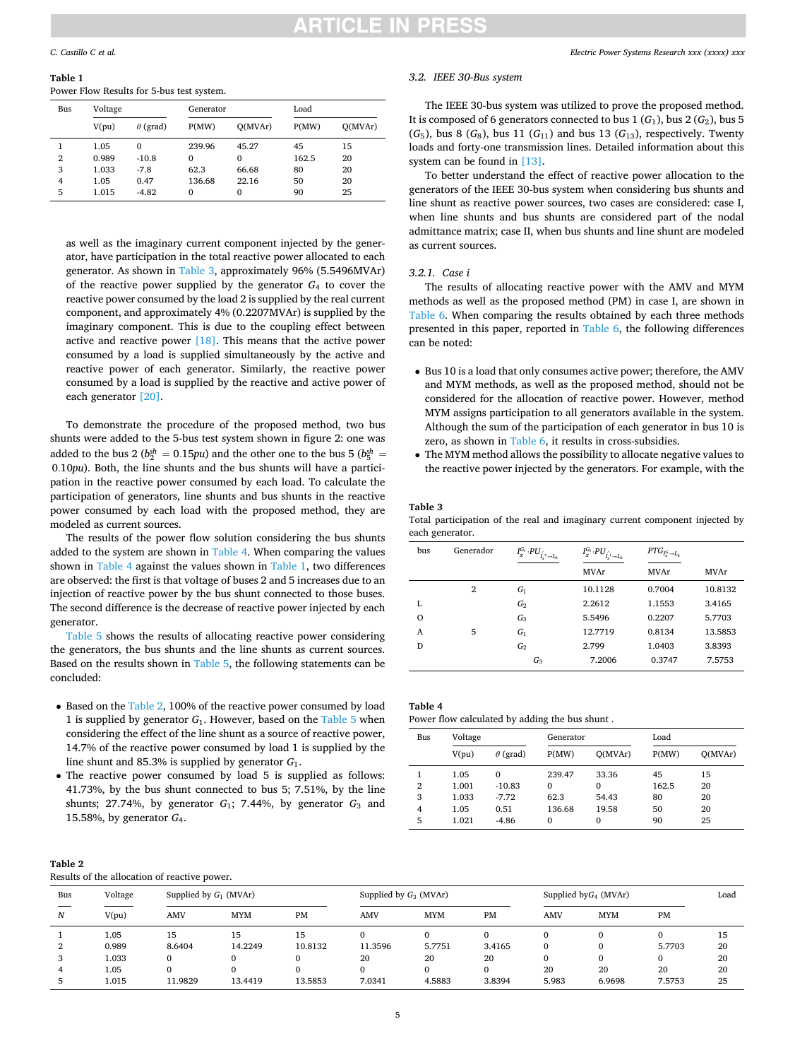<span id="page-4-0"></span>**Table 1**  Power Flow Results for 5-bus test system.

| Bus            | Voltage |                 | Generator |              | Load  |         |
|----------------|---------|-----------------|-----------|--------------|-------|---------|
|                | V(pu)   | $\theta$ (grad) | P(MW)     | O(MVAr)      | P(MW) | O(MVAr) |
|                | 1.05    | 0               | 239.96    | 45.27        | 45    | 15      |
| $\overline{2}$ | 0.989   | $-10.8$         | $\Omega$  | $\mathbf{0}$ | 162.5 | 20      |
| 3              | 1.033   | $-7.8$          | 62.3      | 66.68        | 80    | 20      |
| 4              | 1.05    | 0.47            | 136.68    | 22.16        | 50    | 20      |
| 5              | 1.015   | $-4.82$         | $\Omega$  | $\mathbf{0}$ | 90    | 25      |

as well as the imaginary current component injected by the generator, have participation in the total reactive power allocated to each generator. As shown in Table 3, approximately 96% (5.5496MVAr) of the reactive power supplied by the generator  $G_4$  to cover the reactive power consumed by the load 2 is supplied by the real current component, and approximately 4% (0.2207MVAr) is supplied by the imaginary component. This is due to the coupling effect between active and reactive power [\[18\].](#page-7-0) This means that the active power consumed by a load is supplied simultaneously by the active and reactive power of each generator. Similarly, the reactive power consumed by a load is supplied by the reactive and active power of each generator [\[20\]](#page-7-0).

To demonstrate the procedure of the proposed method, two bus shunts were added to the 5-bus test system shown in figure 2: one was added to the bus 2 ( $b_2^{sh} = 0.15$ *pu*) and the other one to the bus 5 ( $b_5^{sh} =$ 0*.*10*pu*). Both, the line shunts and the bus shunts will have a participation in the reactive power consumed by each load. To calculate the participation of generators, line shunts and bus shunts in the reactive power consumed by each load with the proposed method, they are modeled as current sources.

The results of the power flow solution considering the bus shunts added to the system are shown in Table 4. When comparing the values shown in Table 4 against the values shown in Table 1, two differences are observed: the first is that voltage of buses 2 and 5 increases due to an injection of reactive power by the bus shunt connected to those buses. The second difference is the decrease of reactive power injected by each generator.

[Table 5](#page-5-0) shows the results of allocating reactive power considering the generators, the bus shunts and the line shunts as current sources. Based on the results shown in [Table 5,](#page-5-0) the following statements can be concluded:

- Based on the Table 2, 100% of the reactive power consumed by load 1 is supplied by generator *G*1. However, based on the [Table 5](#page-5-0) when considering the effect of the line shunt as a source of reactive power, 14.7% of the reactive power consumed by load 1 is supplied by the line shunt and 85.3% is supplied by generator *G*1.
- The reactive power consumed by load 5 is supplied as follows: 41.73%, by the bus shunt connected to bus 5; 7.51%, by the line shunts; 27.74%, by generator  $G_1$ ; 7.44%, by generator  $G_3$  and 15.58%, by generator *G*4.

# *Electric Power Systems Research xxx (xxxx) xxx*

# *3.2. IEEE 30-Bus system*

The IEEE 30-bus system was utilized to prove the proposed method. It is composed of 6 generators connected to bus  $1(G_1)$ , bus  $2(G_2)$ , bus 5  $(G_5)$ , bus 8  $(G_8)$ , bus 11  $(G_{11})$  and bus 13  $(G_{13})$ , respectively. Twenty loads and forty-one transmission lines. Detailed information about this system can be found in [\[13\]](#page-7-0).

To better understand the effect of reactive power allocation to the generators of the IEEE 30-bus system when considering bus shunts and line shunt as reactive power sources, two cases are considered: case I, when line shunts and bus shunts are considered part of the nodal admittance matrix; case II, when bus shunts and line shunt are modeled as current sources.

# *3.2.1. Case i*

The results of allocating reactive power with the AMV and MYM methods as well as the proposed method (PM) in case I, are shown in [Table 6](#page-6-0). When comparing the results obtained by each three methods presented in this paper, reported in [Table 6,](#page-6-0) the following differences can be noted:

- Bus 10 is a load that only consumes active power; therefore, the AMV and MYM methods, as well as the proposed method, should not be considered for the allocation of reactive power. However, method MYM assigns participation to all generators available in the system. Although the sum of the participation of each generator in bus 10 is zero, as shown in [Table 6,](#page-6-0) it results in cross-subsidies.
- The MYM method allows the possibility to allocate negative values to the reactive power injected by the generators. For example, with the

## **Table 3**

Total participation of the real and imaginary current component injected by each generator.

| bus | Generador | $I_x^{G_r}\cdot PU_{I_x^{'}\rightarrow L_k}^{'}$ | $I_x^{G_i}\cdot PU_{I_x^{i}\rightarrow L_k}^{\prime}$ | $PTG_{I_x^G \rightarrow L_k}$ |         |
|-----|-----------|--------------------------------------------------|-------------------------------------------------------|-------------------------------|---------|
|     |           |                                                  | <b>MVAr</b>                                           | <b>MVAr</b>                   | MVAr    |
|     | 2         | $G_1$                                            | 10.1128                                               | 0.7004                        | 10.8132 |
| L   |           | G <sub>2</sub>                                   | 2.2612                                                | 1.1553                        | 3.4165  |
| O   |           | $G_3$                                            | 5.5496                                                | 0.2207                        | 5.7703  |
| A   | 5         | G <sub>1</sub>                                   | 12.7719                                               | 0.8134                        | 13.5853 |
| D   |           | G <sub>2</sub>                                   | 2.799                                                 | 1.0403                        | 3.8393  |
|     |           | $G_3$                                            | 7.2006                                                | 0.3747                        | 7.5753  |

| Bus            | Voltage |                 | Generator    |          | Load  |         |
|----------------|---------|-----------------|--------------|----------|-------|---------|
|                | V(pu)   | $\theta$ (grad) | P(MW)        | O(MVAr)  | P(MW) | O(MVAr) |
| 1              | 1.05    | $\mathbf{0}$    | 239.47       | 33.36    | 45    | 15      |
| $\overline{2}$ | 1.001   | $-10.83$        | $\mathbf{0}$ | $\Omega$ | 162.5 | 20      |
| 3              | 1.033   | $-7.72$         | 62.3         | 54.43    | 80    | 20      |
| $\overline{4}$ | 1.05    | 0.51            | 136.68       | 19.58    | 50    | 20      |
| 5              | 1.021   | $-4.86$         | $\Omega$     | $\Omega$ | 90    | 25      |

| M.<br>٧ |  |
|---------|--|
|---------|--|

Results of the allocation of reactive power.

| Bus | Voltage | Supplied by $G_1$ (MVAr) |            |           | Supplied by $G_3$ (MVAr) |            |        |            | Supplied by $G_4$ (MVAr) |          | Load |
|-----|---------|--------------------------|------------|-----------|--------------------------|------------|--------|------------|--------------------------|----------|------|
| N   | V(pu)   | <b>AMV</b>               | <b>MYM</b> | <b>PM</b> | <b>AMV</b>               | <b>MYM</b> | PM     | <b>AMV</b> | <b>MYM</b>               | PM       |      |
|     | 1.05    | 15                       | 15         | 15        |                          | 0          |        |            |                          | $\Omega$ | 15   |
| 2   | 0.989   | 8.6404                   | 14.2249    | 10.8132   | 11.3596                  | 5.7751     | 3.4165 | $\Omega$   |                          | 5.7703   | 20   |
| 3   | 1.033   | $\Omega$                 |            |           | 20                       | 20         | 20     | 0          |                          | $\Omega$ | 20   |
|     | 1.05    |                          |            |           |                          | 0          |        | 20         | 20                       | 20       | 20   |
|     | 1.015   | 11.9829                  | 13.4419    | 13.5853   | 7.0341                   | 4.5883     | 3.8394 | 5.983      | 6.9698                   | 7.5753   | 25   |
|     |         |                          |            |           |                          |            |        |            |                          |          |      |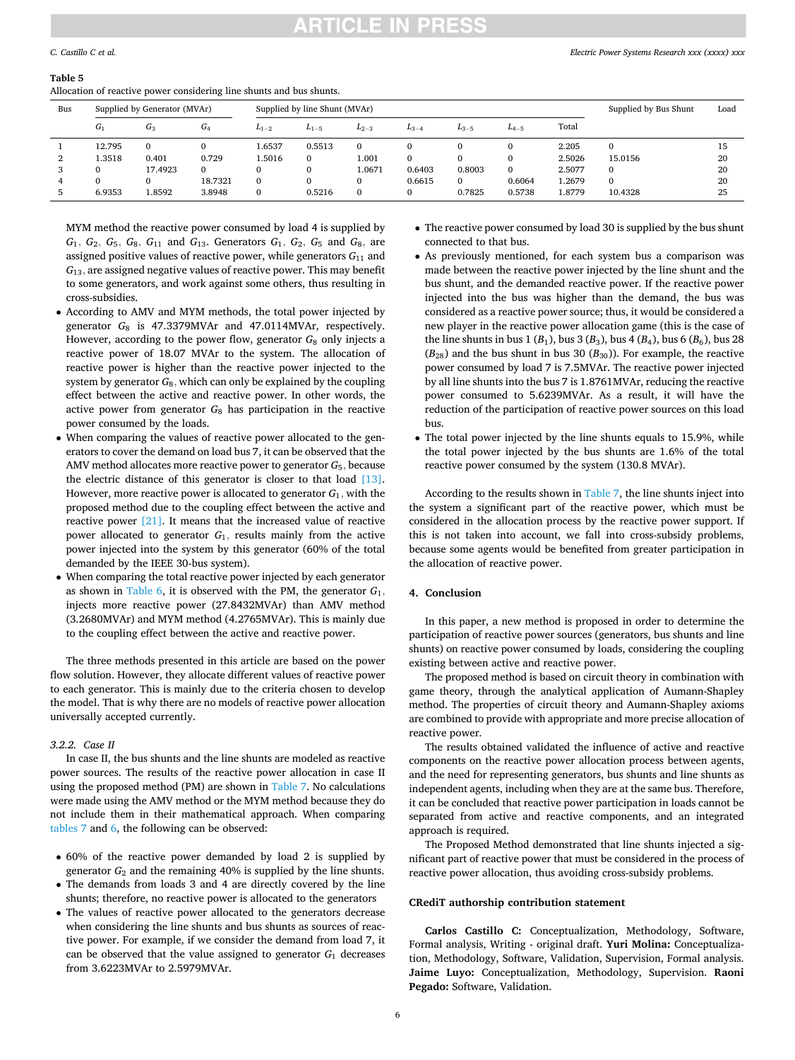# ITICLE IN PRES

#### <span id="page-5-0"></span>**Table 5**

Allocation of reactive power considering line shunts and bus shunts.

| Bus |        | Supplied by Generator (MVAr) |                  |              | Supplied by line Shunt (MVAr) |           |           |              |           |        | Supplied by Bus Shunt | Load |
|-----|--------|------------------------------|------------------|--------------|-------------------------------|-----------|-----------|--------------|-----------|--------|-----------------------|------|
|     | $G_1$  | $G_3$                        | $\sqrt{2}$<br>G4 | $L_{1-2}$    | $L_{1-5}$                     | $L_{2-3}$ | $L_{3-4}$ | $L_{3-5}$    | $L_{4-5}$ | Total  |                       |      |
|     | 12.795 | $\mathbf{0}$                 |                  | 1.6537       | 0.5513                        | $\Omega$  |           | 0            |           | 2.205  | $\Omega$              | 15   |
| 2   | 1.3518 | 0.401                        | 0.729            | 1.5016       | $\Omega$                      | 1.001     | $\Omega$  | $\mathbf{0}$ |           | 2.5026 | 15.0156               | 20   |
| 3   |        | 17.4923                      | $\mathbf{0}$     | $\Omega$     |                               | 1.0671    | 0.6403    | 0.8003       |           | 2.5077 | $\mathbf{0}$          | 20   |
| 4   |        | 0                            | 18.7321          | 0            |                               | 0         | 0.6615    | $\mathbf{0}$ | 0.6064    | 1.2679 | $\mathbf{0}$          | 20   |
|     | 6.9353 | .8592                        | 3.8948           | $\mathbf{0}$ | 0.5216                        | $\Omega$  | $\Omega$  | 0.7825       | 0.5738    | 1.8779 | 10.4328               | 25   |

MYM method the reactive power consumed by load 4 is supplied by  $G_1$ ,  $G_2$ ,  $G_5$ ,  $G_8$ ,  $G_{11}$  and  $G_{13}$ . Generators  $G_1$ ,  $G_2$ ,  $G_5$  and  $G_8$ , are assigned positive values of reactive power, while generators  $G_{11}$  and *G*13*,* are assigned negative values of reactive power. This may benefit to some generators, and work against some others, thus resulting in cross-subsidies.

- According to AMV and MYM methods, the total power injected by generator *G*<sub>8</sub> is 47.3379MVAr and 47.0114MVAr, respectively. However, according to the power flow, generator  $G_8$  only injects a reactive power of 18.07 MVAr to the system. The allocation of reactive power is higher than the reactive power injected to the system by generator  $G_8$ , which can only be explained by the coupling effect between the active and reactive power. In other words, the active power from generator *G*8 has participation in the reactive power consumed by the loads.
- When comparing the values of reactive power allocated to the generators to cover the demand on load bus 7, it can be observed that the AMV method allocates more reactive power to generator *G*5*,* because the electric distance of this generator is closer to that load [\[13\]](#page-7-0). However, more reactive power is allocated to generator  $G_1$ , with the proposed method due to the coupling effect between the active and reactive power [\[21\]](#page-7-0). It means that the increased value of reactive power allocated to generator  $G_1$ , results mainly from the active power injected into the system by this generator (60% of the total demanded by the IEEE 30-bus system).
- When comparing the total reactive power injected by each generator as shown in [Table 6,](#page-6-0) it is observed with the PM, the generator  $G_1$ , injects more reactive power (27.8432MVAr) than AMV method (3.2680MVAr) and MYM method (4.2765MVAr). This is mainly due to the coupling effect between the active and reactive power.

The three methods presented in this article are based on the power flow solution. However, they allocate different values of reactive power to each generator. This is mainly due to the criteria chosen to develop the model. That is why there are no models of reactive power allocation universally accepted currently.

## *3.2.2. Case II*

In case II, the bus shunts and the line shunts are modeled as reactive power sources. The results of the reactive power allocation in case II using the proposed method (PM) are shown in [Table 7.](#page-6-0) No calculations were made using the AMV method or the MYM method because they do not include them in their mathematical approach. When comparing [tables 7](#page-6-0) and [6](#page-6-0), the following can be observed:

- 60% of the reactive power demanded by load 2 is supplied by generator *G*2 and the remaining 40% is supplied by the line shunts.
- The demands from loads 3 and 4 are directly covered by the line shunts; therefore, no reactive power is allocated to the generators
- The values of reactive power allocated to the generators decrease when considering the line shunts and bus shunts as sources of reactive power. For example, if we consider the demand from load 7, it can be observed that the value assigned to generator *G*1 decreases from 3.6223MVAr to 2.5979MVAr.
- The reactive power consumed by load 30 is supplied by the bus shunt connected to that bus.
- As previously mentioned, for each system bus a comparison was made between the reactive power injected by the line shunt and the bus shunt, and the demanded reactive power. If the reactive power injected into the bus was higher than the demand, the bus was considered as a reactive power source; thus, it would be considered a new player in the reactive power allocation game (this is the case of the line shunts in bus 1 ( $B_1$ ), bus 3 ( $B_3$ ), bus 4 ( $B_4$ ), bus 6 ( $B_6$ ), bus 28  $(B_{28})$  and the bus shunt in bus 30  $(B_{30})$ ). For example, the reactive power consumed by load 7 is 7.5MVAr. The reactive power injected by all line shunts into the bus 7 is 1.8761MVAr, reducing the reactive power consumed to 5.6239MVAr. As a result, it will have the reduction of the participation of reactive power sources on this load bus.
- The total power injected by the line shunts equals to 15.9%, while the total power injected by the bus shunts are 1.6% of the total reactive power consumed by the system (130.8 MVAr).

According to the results shown in [Table 7](#page-6-0), the line shunts inject into the system a significant part of the reactive power, which must be considered in the allocation process by the reactive power support. If this is not taken into account, we fall into cross-subsidy problems, because some agents would be benefited from greater participation in the allocation of reactive power.

# **4. Conclusion**

In this paper, a new method is proposed in order to determine the participation of reactive power sources (generators, bus shunts and line shunts) on reactive power consumed by loads, considering the coupling existing between active and reactive power.

The proposed method is based on circuit theory in combination with game theory, through the analytical application of Aumann-Shapley method. The properties of circuit theory and Aumann-Shapley axioms are combined to provide with appropriate and more precise allocation of reactive power.

The results obtained validated the influence of active and reactive components on the reactive power allocation process between agents, and the need for representing generators, bus shunts and line shunts as independent agents, including when they are at the same bus. Therefore, it can be concluded that reactive power participation in loads cannot be separated from active and reactive components, and an integrated approach is required.

The Proposed Method demonstrated that line shunts injected a significant part of reactive power that must be considered in the process of reactive power allocation, thus avoiding cross-subsidy problems.

#### **CRediT authorship contribution statement**

**Carlos Castillo C:** Conceptualization, Methodology, Software, Formal analysis, Writing - original draft. **Yuri Molina:** Conceptualization, Methodology, Software, Validation, Supervision, Formal analysis. **Jaime Luyo:** Conceptualization, Methodology, Supervision. **Raoni Pegado:** Software, Validation.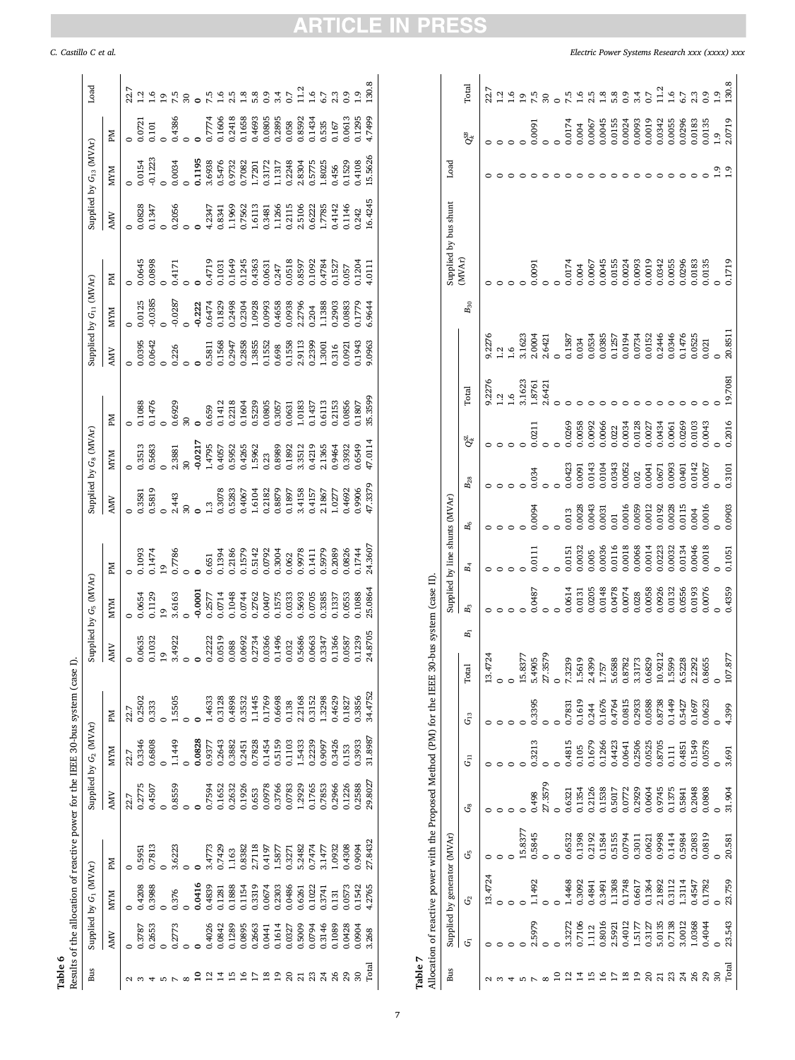Table 6  $\label{eq:rank}$  Results of the allocation of reactive power for the IEEE 30-bus system (case I). Results of the allocation of reactive power for the IEEE 30-bus system (case I).

<span id="page-6-0"></span>

| <b>Bus</b> |                            | Supplied by G <sub>1</sub> (MVAr) |         |                                     | Supplied by G <sub>2</sub> (MVAr)    |                  |            | Supplied by G <sub>5</sub> (MVAr) |                  |            | Supplied by G <sub>8</sub> (MVAr) |         |        | Supplied by $G_{11}$ (MVAr) |                  |                                      | Supplied by $G_{13}$ (MVAr) |                  | Load |
|------------|----------------------------|-----------------------------------|---------|-------------------------------------|--------------------------------------|------------------|------------|-----------------------------------|------------------|------------|-----------------------------------|---------|--------|-----------------------------|------------------|--------------------------------------|-----------------------------|------------------|------|
|            | <b>AMV</b>                 | <b>MYM</b>                        | Md      | AMN                                 | <b>MXM</b>                           | Md               | <b>AMV</b> | <b>MXM</b>                        | Md               | <b>AMV</b> | <b>MYM</b>                        | Md      | AMN    | <b>MXM</b>                  | Md               | <b>AMV</b>                           | <b>MXM</b>                  | ЫĀ               |      |
|            |                            |                                   |         | 22.7                                | 22.7                                 | 22.7             |            |                                   |                  |            |                                   |         |        |                             |                  |                                      |                             |                  | 22.7 |
|            | .3787                      | 1,4208                            | 1.5951  | 0.2775                              | 0.3346                               | 0.2502           | 0.0635     | 0654                              | 1093             | 1.3581     | 1.3513                            | 1.088   | 1,0395 | 1.0125                      | 0.0645           | 0.828                                | 1.0154                      | 0.721            |      |
|            | .2653                      | 0.3988                            | 0.7813  | 1.4507                              |                                      | 1,333            | 0.1032     | 0.1129                            | 0.1474           | 0.5819     | 0.5683                            | 0.1476  | 0.0642 | 0.0385                      | 0.0898           | 0.1347                               | 0.1223                      | 101              |      |
|            |                            |                                   |         |                                     |                                      |                  |            |                                   |                  |            |                                   |         |        |                             |                  |                                      |                             |                  |      |
|            | 0.2773                     | 0.376                             | 3.6223  | 0.8559                              | 1.1449                               | 1.5505           | 3.4922     | 3.6163                            | 0.7786           | 2.443      | 2.3881                            | 1.6929  | 1.226  | $-0.0287$                   | 0.4171           | 0.2056                               | 0.0034                      | 0.4386           |      |
|            |                            |                                   |         |                                     |                                      |                  |            |                                   |                  |            |                                   |         |        |                             |                  |                                      |                             |                  |      |
|            |                            | 1.0416                            |         |                                     | 0.828                                |                  |            | 0.0001                            |                  |            | 0.0217                            |         |        | 0.222                       |                  |                                      | 1195                        |                  |      |
|            |                            | 1.4839                            | 3.4773  | 1.7594                              | 0.9377<br>0.2643<br>0.3882<br>0.2451 | 1.4633           | 0.2222     | 0.2577                            | 1.651            | $\ddot{3}$ | 4795                              | 0.659   | 0.5811 | 0.6474                      | 0.4719           | 1.2347                               | 3.6938                      | ).7774           |      |
|            |                            | 1.1281                            | 0.7429  |                                     |                                      | 0.3128           | 0.0519     | 0.0714                            | 0.1394           | 0.3078     | 1.4057                            | 0.1412  | 0.1568 | 1829                        | 0.1031           | 0.8341                               | 0.5476<br>0.9732            | 0.1606           |      |
|            | 0.4026<br>0.0842<br>0.1289 | 1.888                             | 1.63    |                                     |                                      |                  | 0.88       | 0.1048                            | 0.2186           | 0.5283     | 0.5952                            | 0.2218  | 0.2947 | 0.2498                      | 0.1649           | 1969                                 |                             | 0.2418           |      |
|            | 0.0895                     | 1154                              | 1.8382  | 0.1652<br>0.2632<br>0.1926<br>0.653 |                                      | 1.1445           | 0.0692     | 0.0744                            | 0.1579           | 0.4067     | 1,4265                            | 0.1604  | 0.2858 | 0.2304                      | 0.1245           | 1.7562                               | 0.7082                      | 0.1658           |      |
|            | 0.2663                     | 0.3319                            | 2.7118  |                                     | 0.7828                               |                  | 0.2734     | 0.2762                            | 0.5142           | 1.6104     | 1.5962                            | 0.5239  | 1.3855 | 1.0928                      |                  | 1.6113                               | 1.7201                      | 0.4693           |      |
|            | 0.0441                     | 0.674                             | 0.4197  | 0.0978                              | 11454<br>1.5159                      | 1.769<br>0.6698  | 0.0366     | 0407                              | 0.0792           | 0.2182     | <b>1.23</b>                       | 0.805   | 0.1552 | 0993                        | 0.631            | 1.3481                               | 0.3172                      | 0.0805           | 2    |
|            | 0.1614                     | 0.2303                            | 1.5877  | 0.3766                              |                                      |                  | 0.1496     | 0.1575                            | 0.3004           | 0.8879     | 1.8989                            | 0.3057  | 0.698  | 1.4658                      | 1.247            | 1.266                                | 1.1317                      | 0.2895           |      |
|            | 0.0327                     | 0.0486                            | 0.3271  | 0.0783                              | 0.1103                               | 1.38             | 0.32       | 0.333                             | 0.062            | 0.1897     | 1892                              | 0.631   | 0.1558 | 0.0938                      | 0.0518           | 0.2115<br>2.5106<br>9.6222<br>1.7785 | 0.2248                      | 0.58             |      |
|            | 0.5009                     | 0.6261<br>0.1022                  | 5.2482  | .2929                               | 1.5433<br>0.2239                     | 2.2168<br>0.3152 | 0.5686     | 1.5693                            | 0.9978<br>0.1411 | 3.4158     | 1.3512                            | 1.0183  | 2.9113 | 2.2796                      | 0.8597<br>0.1092 |                                      | 2.8304<br>0.5775            | 0.8592<br>0.1434 |      |
|            | 0.0794                     |                                   | 0.7474  | 0.1765                              |                                      |                  | 0.0663     | 0.705                             |                  | 0.4157     | 1,4219                            | 1437    | 0.2399 | 1.204                       |                  |                                      |                             |                  |      |
|            | 0.3146                     | 1.3741                            | 3.1477  | 0.7853                              | 1606                                 | .3298            | 0.3347     | 1.3385                            | 0.5979           | 2.1867     | 2.1365                            | 0.6113  | .300   | .1388                       | 1.4784           |                                      | .8025                       | 1.535            |      |
|            | 0.1089                     | 131                               | 0932    | 0.2966                              | 1.3426                               | 0.4629           | 0.1366     | 1337                              | 0.2089           | 1.0277     | 1.9464                            | 0.2153  | 1.316  | 1.2903                      | 0.1527           | 14142                                | 1,456                       | 1.167            |      |
|            | 0.0428                     | 0.573                             | 1,4308  | 1226                                | 1153                                 | 1827             | 1.0587     | 0553                              | 0.0826           | 1,4692     | 1.3932                            | 1.0856  | 0.921  | 0883                        | 0.057            | 1146                                 | 1529                        | 0.613            |      |
|            | 0904                       | 1.1542                            | 1,9094  | 0.2588                              | 1.3933                               | 0.3856           | 1.1239     | 1.088                             | 0.1744           | 1.9906     | .6549                             | 1.1807  | 0.1943 | 1779                        | 0.1204           | 1.242                                | 1,4108                      | 0.1295           |      |
| Fotal      | 3.268                      | .2765                             | 27.8432 | 29.8027                             | 31.8987                              | 34.4752          | 24.8705    | 25.0864                           | 24.3607          | 17.3379    | 47.011                            | 35.3599 | 1,0963 | .9644                       | .011             | 16.4245                              | 15.5626                     | 1.7499           | 30.8 |
|            |                            |                                   |         |                                     |                                      |                  |            |                                   |                  |            |                                   |         |        |                             |                  |                                      |                             |                  |      |

**Table 7**<br>Allocation of reactive power with the Proposed Method (PM) for the IEEE 30-bus system (case II).<br>Allocation of reactive power with the Proposed Method (PM) for the IEEE 30-bus system (case II). Allocation of reactive power with the Proposed Method (PM) for the IEEE 30-bus system (case II).

|                         |        |                              |         | The contract of the contract with the contract of the contract of the contract of the contract of the contract of the contract of the contract of the contract of the contract of the contract of the contract of the contract |           |          |                          |       | CH Seph Hinske en J-on |                                |                                                           |                                                          |                   |               |                  |                 |                       |      |                 |                |
|-------------------------|--------|------------------------------|---------|--------------------------------------------------------------------------------------------------------------------------------------------------------------------------------------------------------------------------------|-----------|----------|--------------------------|-------|------------------------|--------------------------------|-----------------------------------------------------------|----------------------------------------------------------|-------------------|---------------|------------------|-----------------|-----------------------|------|-----------------|----------------|
| Bus                     |        | Supplied by generator (MVAr) |         |                                                                                                                                                                                                                                |           |          |                          |       |                        | Supplied by line shunts (MVAr) |                                                           |                                                          |                   |               |                  |                 | Supplied by bus shunt | Load |                 |                |
|                         | త్     | G                            | G5      | ජී                                                                                                                                                                                                                             | $\vec{5}$ | $G_{13}$ | 료<br>Fot                 | $E_1$ | B <sub>3</sub>         | $B_4$                          | $B_6$                                                     | $B_{28}$                                                 | $Q_t^{\text{SL}}$ | <b>Total</b>  |                  | ${\cal B}_{30}$ | (MVAr)                |      | O <sup>SB</sup> | Total          |
|                         |        | 13.4724                      |         |                                                                                                                                                                                                                                |           |          | 4724<br>≌.               |       |                        |                                |                                                           |                                                          |                   | 9.2276        | 9.2276           |                 |                       |      |                 | 22.7           |
|                         |        |                              |         |                                                                                                                                                                                                                                |           |          |                          |       |                        |                                |                                                           |                                                          |                   | $\frac{1}{6}$ | ن<br>با به       |                 |                       |      |                 | $\overline{c}$ |
|                         |        |                              |         |                                                                                                                                                                                                                                |           |          |                          |       |                        |                                |                                                           |                                                          |                   |               |                  |                 |                       |      |                 | ڥ              |
|                         |        |                              | 15.8377 |                                                                                                                                                                                                                                |           |          | .8377<br>15.             |       |                        |                                |                                                           |                                                          |                   | 3.1623        | 3.1623           |                 |                       |      |                 | ᡋ              |
|                         | 2.5979 | 1.1492                       | 0.5845  | 0.498                                                                                                                                                                                                                          | 0.3213    | 0.3395   | 1905<br>5.4              |       | 0.0487                 | 0.0111                         | 0.0094                                                    | 0.034                                                    | 0.211             | 1.8761        |                  |                 | 16001                 |      | 0.0091          | ت.             |
|                         |        |                              |         | 27.3579                                                                                                                                                                                                                        |           |          | 3579                     |       |                        |                                |                                                           |                                                          |                   | 2.6421        | 2.0004<br>2.6421 |                 |                       |      |                 |                |
|                         |        |                              |         |                                                                                                                                                                                                                                |           |          |                          |       |                        |                                |                                                           |                                                          |                   |               | $\overline{a}$   |                 |                       |      |                 |                |
| ≌                       | 3.3272 | 1.4468                       | 0.6532  | 0.6321                                                                                                                                                                                                                         | 0.4815    | 0.7831   | <b>239</b><br>7.3        |       | 0.0614                 | 0.0151                         | 0.013                                                     | 0.423                                                    | 0.0269            |               | 1.1587           |                 | 0.0174                |      | 0.0174          |                |
| $\sharp$                | 0.7106 | 0.3092                       | 0.1398  | 0.1354                                                                                                                                                                                                                         | 0.105     | 0.1619   | 1.5619                   |       | 0.0131                 | 0.0032                         | 0.0028                                                    |                                                          | 0.0058            |               | 0.034            |                 | 0.004                 |      | 0.004           |                |
| ۵H                      | 1.112  | 0.4841                       | 0.2192  | 0.2126                                                                                                                                                                                                                         | 0.1679    | 0.244    | 2.4399                   |       |                        | 1.005                          | 0.0043                                                    |                                                          | 0.0092            |               | 0.0534           |                 | 0.0067                |      | 0.0067          |                |
| $\frac{8}{10}$          | 0.8016 | 0.3491                       | 0.1584  | $\begin{array}{c} 0.1538 \\ 0.5017 \\ 0.0772 \end{array}$                                                                                                                                                                      | 0.1266    | 0.1676   | 1.757<br>5.6588          |       | 0.0205<br>0.0148       | 0.0036                         | 0.0031                                                    | $0.0091$<br>$0.0143$<br>$0.0104$<br>$0.0343$<br>$0.0052$ | 0.0066            |               | 0.0385           |                 | 0.0045                |      | 0.0045          |                |
|                         | 2.5921 | 1.1308                       | 0.5155  |                                                                                                                                                                                                                                | 0.4423    | 0.4764   |                          |       | 0.0478                 | 0.0116                         | 0.01                                                      |                                                          | 0.022             |               | 0.1257           |                 | 0.0155                |      | 0.0155          | $\frac{8}{2}$  |
| $\frac{8}{10}$          | 0.4012 | 0.1748                       | 0.0794  |                                                                                                                                                                                                                                | 0.0641    | 0.0815   | 0.8782                   |       | 0.0074                 | 0.0018                         | 0.0016                                                    |                                                          | 0.0034            |               | 0.0194           |                 | 0.0024                |      | 0.0024          |                |
| ₽                       | 1.5177 | 0.6617                       | 0.3011  | 0.2929                                                                                                                                                                                                                         | 0.2506    | 0.2933   | 3.3173                   |       | 0.028                  | 0.068                          | 0.0059                                                    |                                                          | 0.128             |               | 0.0734           |                 | 0.0093                |      | 0.0093          |                |
| ສ                       | 0.3127 | 0.1364                       | 0.0621  | 0.0604<br>0.9745                                                                                                                                                                                                               | 0.0525    | 0.0588   | 0.6829                   |       | 0.0058                 | 0.0014                         | $\begin{array}{c} 0.0012 \\ 0.0192 \\ 0.0028 \end{array}$ | $0.02$<br>$0.0041$<br>$0.0671$<br>$0.0093$               | 0.0027            |               | 0.0152           |                 | 0.0019                |      | 0.0019          |                |
| $\overline{\mathbf{z}}$ | 5.0135 | 2.1892                       | 0.9998  |                                                                                                                                                                                                                                | 0.8705    | 0.8738   | .9212<br>$\overline{10}$ |       | 0.0926                 | 0223                           |                                                           |                                                          | 0.0434            |               | 0.2446           |                 | 0.0342                |      | 0.0342          |                |
| <u>ని</u> ష             | 0.7138 | 0.3112                       | 0.1414  | 0.1375                                                                                                                                                                                                                         | 0.111     | 0.1449   | 599<br>ني                |       | 0.0132                 | 0.0032                         |                                                           |                                                          | 0.0061            |               | 0.0346           |                 | 0.0055                |      | 0.0055          | ڢ              |
|                         | 3.0012 | 1.3114                       | 0.5984  | 0.5841                                                                                                                                                                                                                         | 0.4851    | 0.5427   | <b>3228</b><br>6.5       |       | 0.0556                 | 0134                           | 0.0115                                                    | 0.0401                                                   | 0.0269            |               | 0.1476           |                 | 0.0296                |      | 0.0296          | 5.7            |
| ಸಿ ಸಿ                   | 1.0368 | 0.4547                       | 0.2083  | 0.2048                                                                                                                                                                                                                         | 0.1549    | 0.1697   | 292<br>2.2               |       | 0.0193                 | 0.0046                         | 1.004                                                     |                                                          | 0.0103            |               | 0.0525           |                 | 0.0183                |      | 0.0183          | ಼              |
|                         | 0.4044 | 0.1782                       | 0.0819  | 0.0808                                                                                                                                                                                                                         | 0.0578    | 0.0623   | 1655<br>$\frac{8}{2}$    |       | 0.0076                 | 0.0018                         | 0.0016                                                    | 0.0057                                                   | 0.0043            |               | 0.021            |                 | 0.0135                |      | 0.0135          | 9.             |
|                         |        |                              |         |                                                                                                                                                                                                                                |           |          |                          |       |                        |                                |                                                           |                                                          |                   |               |                  |                 |                       |      | <b>م</b> .      | $\overline{6}$ |
| Total                   | 23.543 | 23.759                       | 20.581  | 31.904                                                                                                                                                                                                                         | 1691      | 1.399    | .877                     |       | 0.4359                 | 0.1051                         | 0.0903                                                    | 0.3101                                                   | 1,2016            | 19.7081       | 20.851           |                 | 0.1719                | ق    | 2.0719          | 130.8          |
|                         |        |                              |         |                                                                                                                                                                                                                                |           |          |                          |       |                        |                                |                                                           |                                                          |                   |               |                  |                 |                       |      |                 |                |

*Electric Power Systems Research xxx (xxxx) xxx*